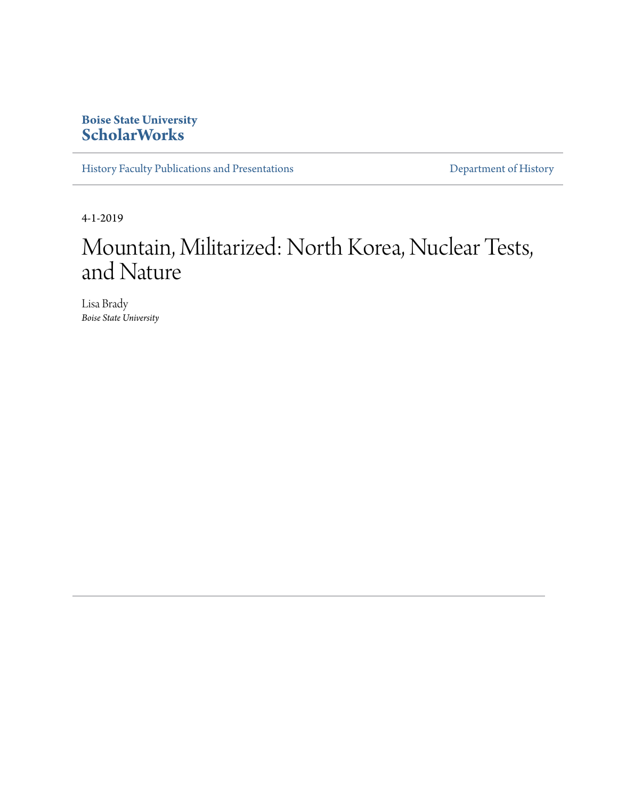## **Boise State University [ScholarWorks](https://scholarworks.boisestate.edu)**

[History Faculty Publications and Presentations](https://scholarworks.boisestate.edu/history_facpubs) **[Department of History](https://scholarworks.boisestate.edu/history)** Department of History

4-1-2019

# Mountain, Militarized: North Korea, Nuclear Tests, and Nature

Lisa Brady *Boise State University*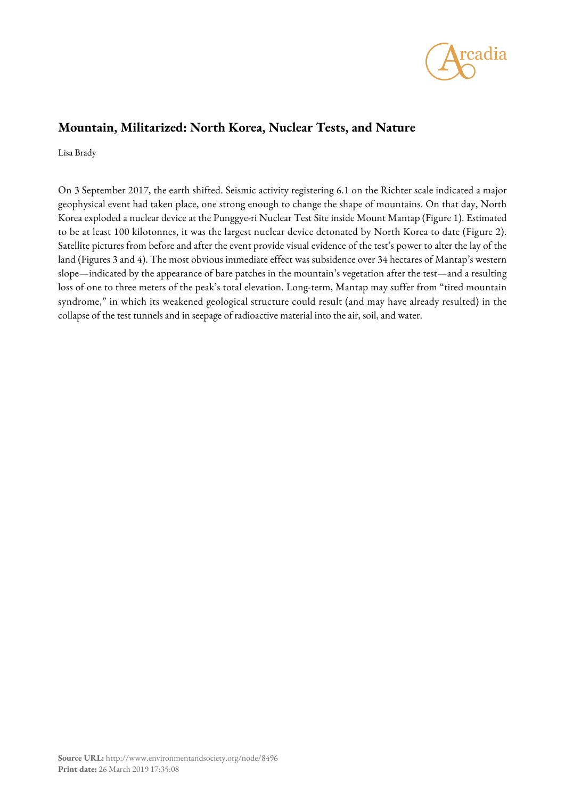

## **Mountain, Militarized: North Korea, Nuclear Tests, and Nature**

Lisa Brady

On 3 September 2017, the earth shifted. Seismic activity registering 6.1 on the Richter scale indicated a major geophysical event had taken place, one strong enough to change the shape of mountains. On that day, North Korea exploded a nuclear device at the Punggye-ri Nuclear Test Site inside Mount Mantap (Figure 1). Estimated to be at least 100 kilotonnes, it was the largest nuclear device detonated by North Korea to date (Figure 2). Satellite pictures from before and after the event provide visual evidence of the test's power to alter the lay of the land (Figures 3 and 4). The most obvious immediate effect was subsidence over 34 hectares of Mantap's western slope—indicated by the appearance of bare patches in the mountain's vegetation after the test—and a resulting loss of one to three meters of the peak's total elevation. Long-term, Mantap may suffer from "tired mountain syndrome," in which its weakened geological structure could result (and may have already resulted) in the collapse of the test tunnels and in seepage of radioactive material into the air, soil, and water.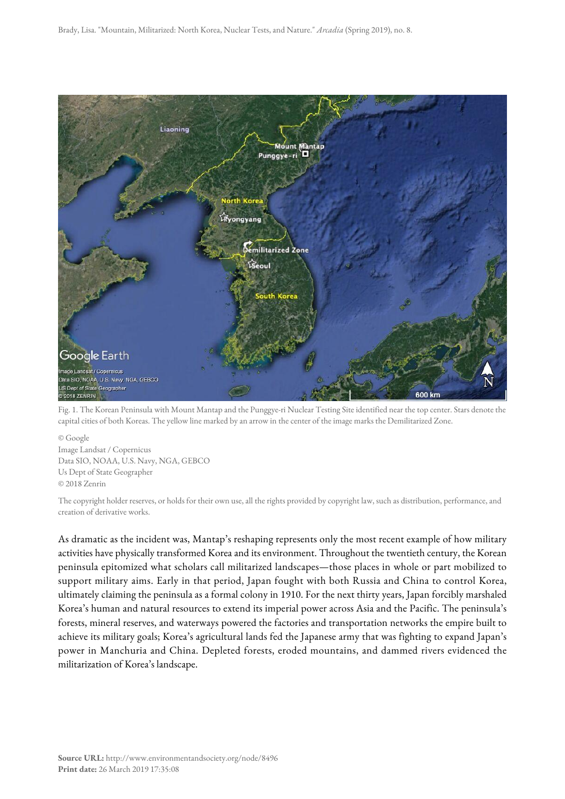

Fig. 1. The Korean Peninsula with Mount Mantap and the Punggye-ri Nuclear Testing Site identified near the top center. Stars denote the capital cities of both Koreas. The yellow line marked by an arrow in the center of the image marks the Demilitarized Zone.

© Google Image Landsat / Copernicus Data SIO, NOAA, U.S. Navy, NGA, GEBCO Us Dept of State Geographer © 2018 Zenrin

The copyright holder reserves, or holds for their own use, all the rights provided by copyright law, such as distribution, performance, and creation of derivative works.

As dramatic as the incident was, Mantap's reshaping represents only the most recent example of how military activities have physically transformed Korea and its environment. Throughout the twentieth century, the Korean peninsula epitomized what scholars call militarized landscapes—those places in whole or part mobilized to support military aims. Early in that period, Japan fought with both Russia and China to control Korea, ultimately claiming the peninsula as a formal colony in 1910. For the next thirty years, Japan forcibly marshaled Korea's human and natural resources to extend its imperial power across Asia and the Pacific. The peninsula's forests, mineral reserves, and waterways powered the factories and transportation networks the empire built to achieve its military goals; Korea's agricultural lands fed the Japanese army that was fighting to expand Japan's power in Manchuria and China. Depleted forests, eroded mountains, and dammed rivers evidenced the militarization of Korea's landscape.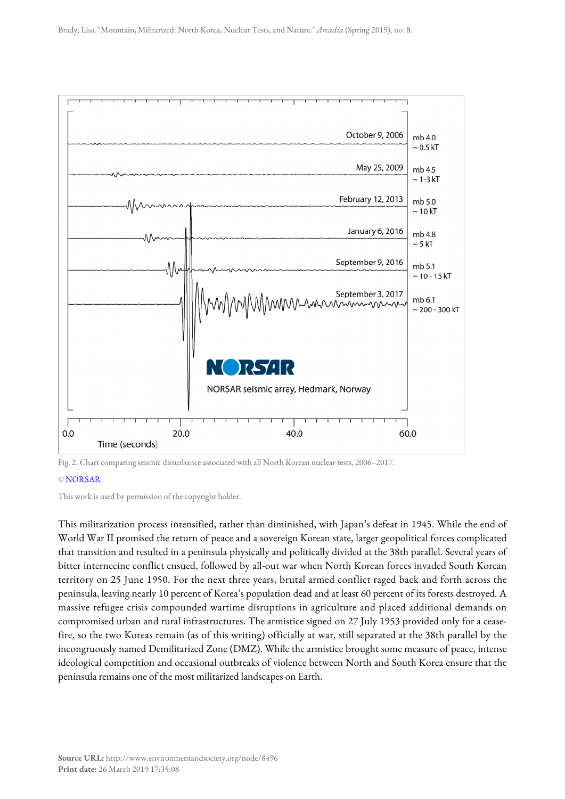

Fig. 2. Chart comparing seismic disturbance associated with all North Korean nuclear tests, 2006–2017.

### © [NORSAR](https://www.norsar.no)

This work is used by permission of the copyright holder.

This militarization process intensified, rather than diminished, with Japan's defeat in 1945. While the end of World War II promised the return of peace and a sovereign Korean state, larger geopolitical forces complicated that transition and resulted in a peninsula physically and politically divided at the 38th parallel. Several years of bitter internecine conflict ensued, followed by all-out war when North Korean forces invaded South Korean territory on 25 June 1950. For the next three years, brutal armed conflict raged back and forth across the peninsula, leaving nearly 10 percent of Korea's population dead and at least 60 percent of its forests destroyed. A massive refugee crisis compounded wartime disruptions in agriculture and placed additional demands on compromised urban and rural infrastructures. The armistice signed on 27 July 1953 provided only for a ceasefire, so the two Koreas remain (as of this writing) officially at war, still separated at the 38th parallel by the incongruously named Demilitarized Zone (DMZ). While the armistice brought some measure of peace, intense ideological competition and occasional outbreaks of violence between North and South Korea ensure that the peninsula remains one of the most militarized landscapes on Earth.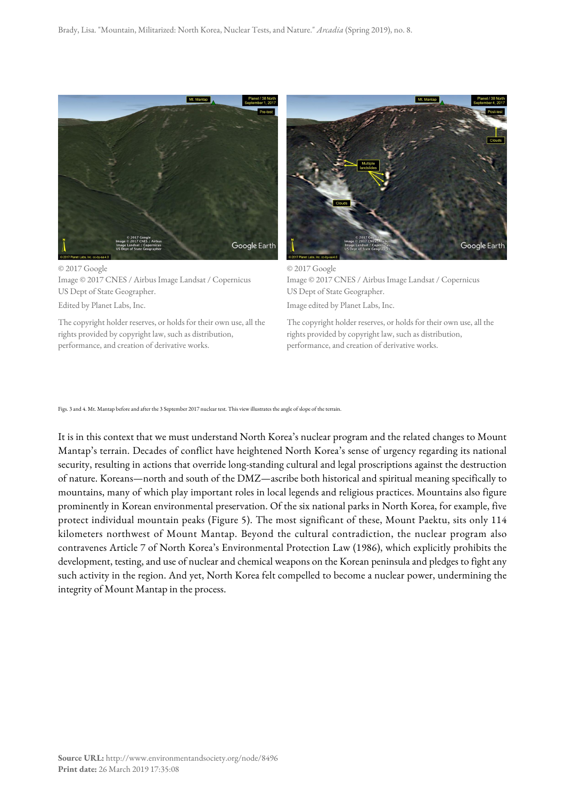

© 2017 Google Image © 2017 CNES / Airbus Image Landsat / Copernicus US Dept of State Geographer. Edited by Planet Labs, Inc.

The copyright holder reserves, or holds for their own use, all the rights provided by copyright law, such as distribution,

performance, and creation of derivative works.



© 2017 Google Image © 2017 CNES / Airbus Image Landsat / Copernicus US Dept of State Geographer.

Image edited by Planet Labs, Inc.

The copyright holder reserves, or holds for their own use, all the rights provided by copyright law, such as distribution, performance, and creation of derivative works.

Figs. 3 and 4. Mt. Mantap before and after the 3 September 2017 nuclear test. This view illustrates the angle of slope of the terrain.

It is in this context that we must understand North Korea's nuclear program and the related changes to Mount Mantap's terrain. Decades of conflict have heightened North Korea's sense of urgency regarding its national security, resulting in actions that override long-standing cultural and legal proscriptions against the destruction of nature. Koreans—north and south of the DMZ—ascribe both historical and spiritual meaning specifically to mountains, many of which play important roles in local legends and religious practices. Mountains also figure prominently in Korean environmental preservation. Of the six national parks in North Korea, for example, five protect individual mountain peaks (Figure 5). The most significant of these, Mount Paektu, sits only 114 kilometers northwest of Mount Mantap. Beyond the cultural contradiction, the nuclear program also contravenes Article 7 of North Korea's Environmental Protection Law (1986), which explicitly prohibits the development, testing, and use of nuclear and chemical weapons on the Korean peninsula and pledges to fight any such activity in the region. And yet, North Korea felt compelled to become a nuclear power, undermining the integrity of Mount Mantap in the process.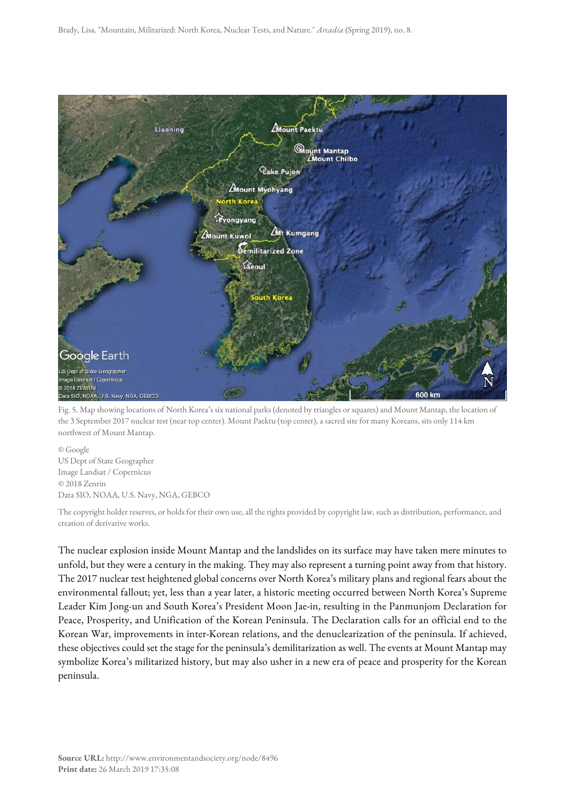Brady, Lisa. "Mountain, Militarized: North Korea, Nuclear Tests, and Nature." *Arcadia* (Spring 2019), no. 8.



Fig. 5. Map showing locations of North Korea's six national parks (denoted by triangles or squares) and Mount Mantap, the location of the 3 September 2017 nuclear test (near top center). Mount Paektu (top center), a sacred site for many Koreans, sits only 114 km northwest of Mount Mantap.

© Google US Dept of State Geographer Image Landsat / Copernicus © 2018 Zenrin Data SIO, NOAA, U.S. Navy, NGA, GEBCO

The copyright holder reserves, or holds for their own use, all the rights provided by copyright law, such as distribution, performance, and creation of derivative works.

The nuclear explosion inside Mount Mantap and the landslides on its surface may have taken mere minutes to unfold, but they were a century in the making. They may also represent a turning point away from that history. The 2017 nuclear test heightened global concerns over North Korea's military plans and regional fears about the environmental fallout; yet, less than a year later, a historic meeting occurred between North Korea's Supreme Leader Kim Jong-un and South Korea's President Moon Jae-in, resulting in the Panmunjom Declaration for Peace, Prosperity, and Unification of the Korean Peninsula. The Declaration calls for an official end to the Korean War, improvements in inter-Korean relations, and the denuclearization of the peninsula. If achieved, these objectives could set the stage for the peninsula's demilitarization as well. The events at Mount Mantap may symbolize Korea's militarized history, but may also usher in a new era of peace and prosperity for the Korean peninsula.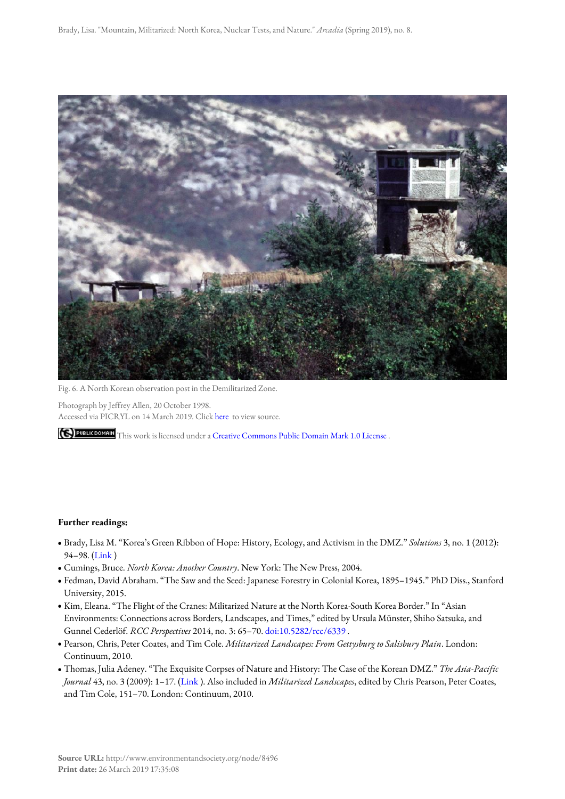

Fig. 6. A North Korean observation post in the Demilitarized Zone.

Photograph by Jeffrey Allen, 20 October 1998. Accessed via PICRYL on 14 March 2019. Click [here](https://picryl.com/media/20-oct-1998-a-north-korean-observation-post-in-the-demilitarized-zone-us-air-0020ae) to view source.

THIS THIS WORK IS licensed under a [Creative Commons Public Domain Mark 1.0 License](http://creativecommons.org/publicdomain/mark/1.0/).

#### **Further readings:**

- Brady, Lisa M. "Korea's Green Ribbon of Hope: History, Ecology, and Activism in the DMZ." *Solutions* 3, no. 1 (2012): 94–98. ([Link](http://www.thesolutionsjournal.com/node/1047) )
- Cumings, Bruce. *North Korea: Another Country*. New York: The New Press, 2004.
- Fedman, David Abraham. "The Saw and the Seed: Japanese Forestry in Colonial Korea, 1895–1945." PhD Diss., Stanford University, 2015.
- Kim, Eleana. "The Flight of the Cranes: Militarized Nature at the North Korea-South Korea Border." In "Asian Environments: Connections across Borders, Landscapes, and Times," edited by Ursula Münster, Shiho Satsuka, and Gunnel Cederlöf. *RCC Perspectives* 2014, no. 3: 65–70. [doi:10.5282/rcc/6339](http://doi.org/10.5282/rcc/6339) .
- Pearson, Chris, Peter Coates, and Tim Cole. *Militarized Landscapes: From Gettysburg to Salisbury Plain*. London: Continuum, 2010.
- Thomas, Julia Adeney. "The Exquisite Corpses of Nature and History: The Case of the Korean DMZ." *The Asia-Pacific Journal* 43, no. 3 (2009): 1–17. ([Link](http://apjjf.org/-Julia-Adeney-Thomas/3242/article.html) ). Also included in *Militarized Landscapes*, edited by Chris Pearson, Peter Coates, and Tim Cole, 151–70. London: Continuum, 2010.